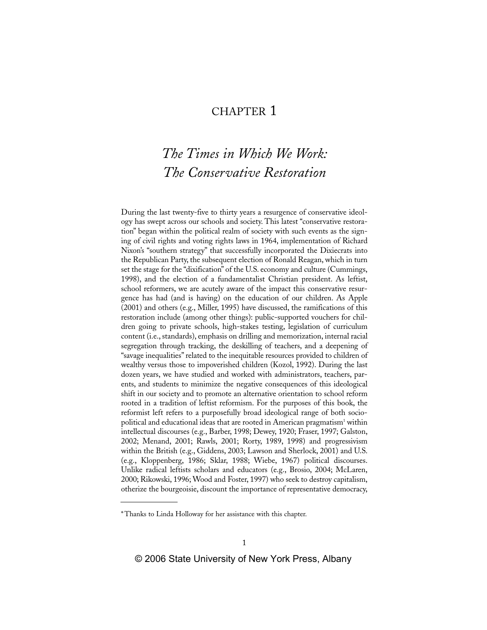# CHAPTER 1

# *The Times in Which We Work: The Conservative Restoration*

During the last twenty-five to thirty years a resurgence of conservative ideology has swept across our schools and society. This latest "conservative restoration" began within the political realm of society with such events as the signing of civil rights and voting rights laws in 1964, implementation of Richard Nixon's "southern strategy" that successfully incorporated the Dixiecrats into the Republican Party, the subsequent election of Ronald Reagan, which in turn set the stage for the "dixification" of the U.S. economy and culture (Cummings, 1998), and the election of a fundamentalist Christian president. As leftist, school reformers, we are acutely aware of the impact this conservative resurgence has had (and is having) on the education of our children. As Apple (2001) and others (e.g., Miller, 1995) have discussed, the ramifications of this restoration include (among other things): public-supported vouchers for children going to private schools, high-stakes testing, legislation of curriculum content (i.e., standards), emphasis on drilling and memorization, internal racial segregation through tracking, the deskilling of teachers, and a deepening of "savage inequalities" related to the inequitable resources provided to children of wealthy versus those to impoverished children (Kozol, 1992). During the last dozen years, we have studied and worked with administrators, teachers, parents, and students to minimize the negative consequences of this ideological shift in our society and to promote an alternative orientation to school reform rooted in a tradition of leftist reformism. For the purposes of this book, the reformist left refers to a purposefully broad ideological range of both sociopolitical and educational ideas that are rooted in American pragmatism<sup>1</sup> within intellectual discourses (e.g., Barber, 1998; Dewey, 1920; Fraser, 1997; Galston, 2002; Menand, 2001; Rawls, 2001; Rorty, 1989, 1998) and progressivism within the British (e.g., Giddens, 2003; Lawson and Sherlock, 2001) and U.S. (e.g., Kloppenberg, 1986; Sklar, 1988; Wiebe, 1967) political discourses. Unlike radical leftists scholars and educators (e.g., Brosio, 2004; McLaren, 2000; Rikowski, 1996; Wood and Foster, 1997) who seek to destroy capitalism, otherize the bourgeoisie, discount the importance of representative democracy,

<sup>\*</sup> Thanks to Linda Holloway for her assistance with this chapter.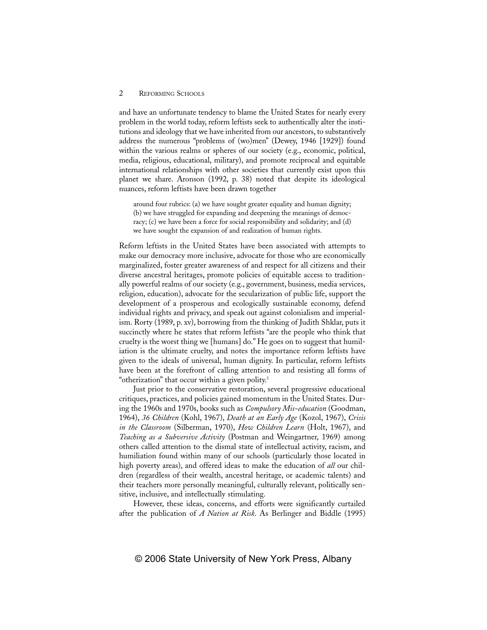and have an unfortunate tendency to blame the United States for nearly every problem in the world today, reform leftists seek to authentically alter the institutions and ideology that we have inherited from our ancestors, to substantively address the numerous "problems of (wo)men" (Dewey, 1946 [1929]) found within the various realms or spheres of our society (e.g., economic, political, media, religious, educational, military), and promote reciprocal and equitable international relationships with other societies that currently exist upon this planet we share. Aronson (1992, p. 38) noted that despite its ideological nuances, reform leftists have been drawn together

around four rubrics: (a) we have sought greater equality and human dignity; (b) we have struggled for expanding and deepening the meanings of democracy; (c) we have been a force for social responsibility and solidarity; and (d) we have sought the expansion of and realization of human rights.

Reform leftists in the United States have been associated with attempts to make our democracy more inclusive, advocate for those who are economically marginalized, foster greater awareness of and respect for all citizens and their diverse ancestral heritages, promote policies of equitable access to traditionally powerful realms of our society (e.g., government, business, media services, religion, education), advocate for the secularization of public life, support the development of a prosperous and ecologically sustainable economy, defend individual rights and privacy, and speak out against colonialism and imperialism. Rorty (1989, p. xv), borrowing from the thinking of Judith Shklar, puts it succinctly where he states that reform leftists "are the people who think that cruelty is the worst thing we [humans] do." He goes on to suggest that humiliation is the ultimate cruelty, and notes the importance reform leftists have given to the ideals of universal, human dignity. In particular, reform leftists have been at the forefront of calling attention to and resisting all forms of "otherization" that occur within a given polity.2

Just prior to the conservative restoration, several progressive educational critiques, practices, and policies gained momentum in the United States. During the 1960s and 1970s, books such as *Compulsory Mis-education* (Goodman, 1964), *36 Children* (Kohl, 1967), *Death at an Early Age* (Kozol, 1967), *Crisis in the Classroom* (Silberman, 1970), *How Children Learn* (Holt, 1967), and *Teaching as a Subversive Activity* (Postman and Weingartner, 1969) among others called attention to the dismal state of intellectual activity, racism, and humiliation found within many of our schools (particularly those located in high poverty areas), and offered ideas to make the education of *all* our children (regardless of their wealth, ancestral heritage, or academic talents) and their teachers more personally meaningful, culturally relevant, politically sensitive, inclusive, and intellectually stimulating.

However, these ideas, concerns, and efforts were significantly curtailed after the publication of *A Nation at Risk*. As Berlinger and Biddle (1995)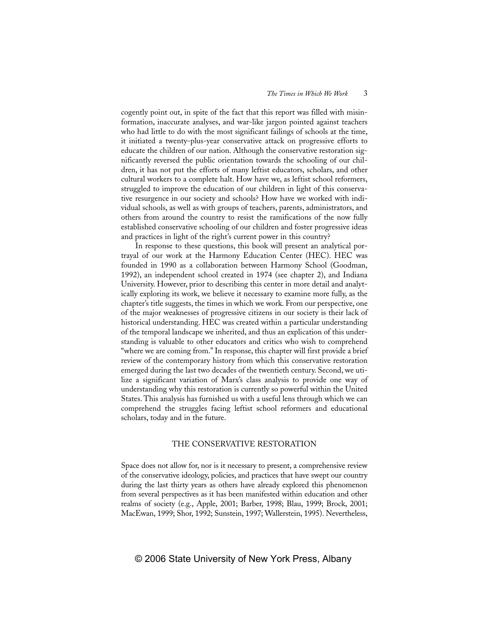cogently point out, in spite of the fact that this report was filled with misinformation, inaccurate analyses, and war-like jargon pointed against teachers who had little to do with the most significant failings of schools at the time, it initiated a twenty-plus-year conservative attack on progressive efforts to educate the children of our nation. Although the conservative restoration significantly reversed the public orientation towards the schooling of our children, it has not put the efforts of many leftist educators, scholars, and other cultural workers to a complete halt. How have we, as leftist school reformers, struggled to improve the education of our children in light of this conservative resurgence in our society and schools? How have we worked with individual schools, as well as with groups of teachers, parents, administrators, and others from around the country to resist the ramifications of the now fully established conservative schooling of our children and foster progressive ideas and practices in light of the right's current power in this country?

In response to these questions, this book will present an analytical portrayal of our work at the Harmony Education Center (HEC). HEC was founded in 1990 as a collaboration between Harmony School (Goodman, 1992), an independent school created in 1974 (see chapter 2), and Indiana University. However, prior to describing this center in more detail and analytically exploring its work, we believe it necessary to examine more fully, as the chapter's title suggests, the times in which we work. From our perspective, one of the major weaknesses of progressive citizens in our society is their lack of historical understanding. HEC was created within a particular understanding of the temporal landscape we inherited, and thus an explication of this understanding is valuable to other educators and critics who wish to comprehend "where we are coming from." In response, this chapter will first provide a brief review of the contemporary history from which this conservative restoration emerged during the last two decades of the twentieth century. Second, we utilize a significant variation of Marx's class analysis to provide one way of understanding why this restoration is currently so powerful within the United States. This analysis has furnished us with a useful lens through which we can comprehend the struggles facing leftist school reformers and educational scholars, today and in the future.

### THE CONSERVATIVE RESTORATION

Space does not allow for, nor is it necessary to present, a comprehensive review of the conservative ideology, policies, and practices that have swept our country during the last thirty years as others have already explored this phenomenon from several perspectives as it has been manifested within education and other realms of society (e.g., Apple, 2001; Barber, 1998; Blau, 1999; Brock, 2001; MacEwan, 1999; Shor, 1992; Sunstein, 1997; Wallerstein, 1995). Nevertheless,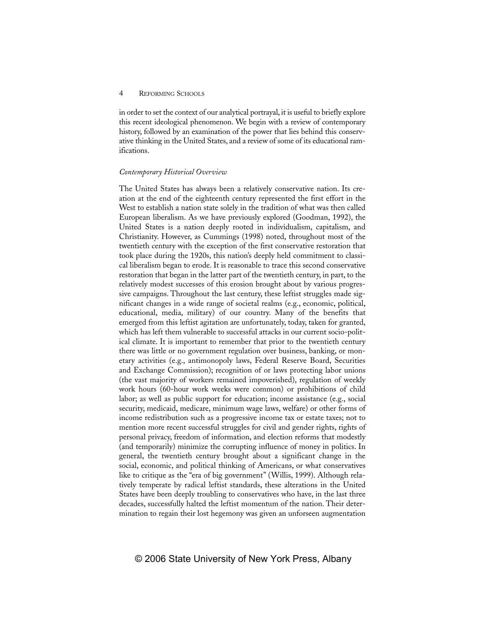in order to set the context of our analytical portrayal, it is useful to briefly explore this recent ideological phenomenon. We begin with a review of contemporary history, followed by an examination of the power that lies behind this conservative thinking in the United States, and a review of some of its educational ramifications.

# *Contemporary Historical Overview*

The United States has always been a relatively conservative nation. Its creation at the end of the eighteenth century represented the first effort in the West to establish a nation state solely in the tradition of what was then called European liberalism. As we have previously explored (Goodman, 1992), the United States is a nation deeply rooted in individualism, capitalism, and Christianity. However, as Cummings (1998) noted, throughout most of the twentieth century with the exception of the first conservative restoration that took place during the 1920s, this nation's deeply held commitment to classical liberalism began to erode. It is reasonable to trace this second conservative restoration that began in the latter part of the twentieth century, in part, to the relatively modest successes of this erosion brought about by various progressive campaigns. Throughout the last century, these leftist struggles made significant changes in a wide range of societal realms (e.g., economic, political, educational, media, military) of our country. Many of the benefits that emerged from this leftist agitation are unfortunately, today, taken for granted, which has left them vulnerable to successful attacks in our current socio-political climate. It is important to remember that prior to the twentieth century there was little or no government regulation over business, banking, or monetary activities (e.g., antimonopoly laws, Federal Reserve Board, Securities and Exchange Commission); recognition of or laws protecting labor unions (the vast majority of workers remained impoverished), regulation of weekly work hours (60-hour work weeks were common) or prohibitions of child labor; as well as public support for education; income assistance (e.g., social security, medicaid, medicare, minimum wage laws, welfare) or other forms of income redistribution such as a progressive income tax or estate taxes; not to mention more recent successful struggles for civil and gender rights, rights of personal privacy, freedom of information, and election reforms that modestly (and temporarily) minimize the corrupting influence of money in politics. In general, the twentieth century brought about a significant change in the social, economic, and political thinking of Americans, or what conservatives like to critique as the "era of big government" (Willis, 1999). Although relatively temperate by radical leftist standards, these alterations in the United States have been deeply troubling to conservatives who have, in the last three decades, successfully halted the leftist momentum of the nation. Their determination to regain their lost hegemony was given an unforseen augmentation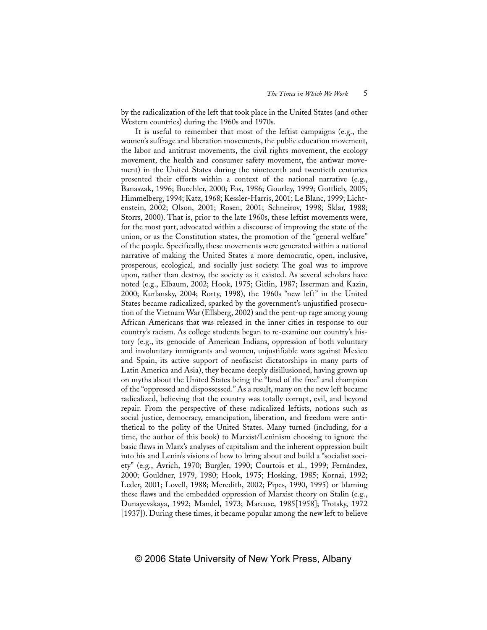by the radicalization of the left that took place in the United States (and other Western countries) during the 1960s and 1970s.

It is useful to remember that most of the leftist campaigns (e.g., the women's suffrage and liberation movements, the public education movement, the labor and antitrust movements, the civil rights movement, the ecology movement, the health and consumer safety movement, the antiwar movement) in the United States during the nineteenth and twentieth centuries presented their efforts within a context of the national narrative (e.g., Banaszak, 1996; Buechler, 2000; Fox, 1986; Gourley, 1999; Gottlieb, 2005; Himmelberg, 1994; Katz, 1968; Kessler-Harris, 2001; Le Blanc, 1999; Lichtenstein, 2002; Olson, 2001; Rosen, 2001; Schneirov, 1998; Sklar, 1988; Storrs, 2000). That is, prior to the late 1960s, these leftist movements were, for the most part, advocated within a discourse of improving the state of the union, or as the Constitution states, the promotion of the "general welfare" of the people. Specifically, these movements were generated within a national narrative of making the United States a more democratic, open, inclusive, prosperous, ecological, and socially just society. The goal was to improve upon, rather than destroy, the society as it existed. As several scholars have noted (e.g., Elbaum, 2002; Hook, 1975; Gitlin, 1987; Isserman and Kazin, 2000; Kurlansky, 2004; Rorty, 1998), the 1960s "new left" in the United States became radicalized, sparked by the government's unjustified prosecution of the Vietnam War (Ellsberg, 2002) and the pent-up rage among young African Americans that was released in the inner cities in response to our country's racism. As college students began to re-examine our country's history (e.g., its genocide of American Indians, oppression of both voluntary and involuntary immigrants and women, unjustifiable wars against Mexico and Spain, its active support of neofascist dictatorships in many parts of Latin America and Asia), they became deeply disillusioned, having grown up on myths about the United States being the "land of the free" and champion of the "oppressed and dispossessed." As a result, many on the new left became radicalized, believing that the country was totally corrupt, evil, and beyond repair. From the perspective of these radicalized leftists, notions such as social justice, democracy, emancipation, liberation, and freedom were antithetical to the polity of the United States. Many turned (including, for a time, the author of this book) to Marxist/Leninism choosing to ignore the basic flaws in Marx's analyses of capitalism and the inherent oppression built into his and Lenin's visions of how to bring about and build a "socialist society" (e.g., Avrich, 1970; Burgler, 1990; Courtois et al., 1999; Fernández, 2000; Gouldner, 1979, 1980; Hook, 1975; Hosking, 1985; Kornai, 1992; Leder, 2001; Lovell, 1988; Meredith, 2002; Pipes, 1990, 1995) or blaming these flaws and the embedded oppression of Marxist theory on Stalin (e.g., Dunayevskaya, 1992; Mandel, 1973; Marcuse, 1985[1958]; Trotsky, 1972 [1937]). During these times, it became popular among the new left to believe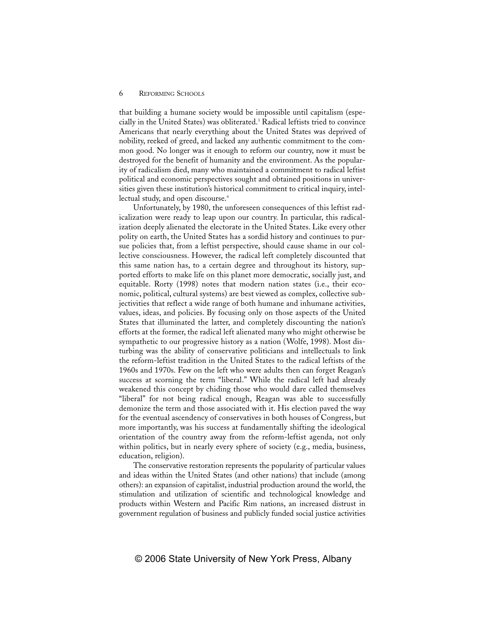that building a humane society would be impossible until capitalism (especially in the United States) was obliterated.3 Radical leftists tried to convince Americans that nearly everything about the United States was deprived of nobility, reeked of greed, and lacked any authentic commitment to the common good. No longer was it enough to reform our country, now it must be destroyed for the benefit of humanity and the environment. As the popularity of radicalism died, many who maintained a commitment to radical leftist political and economic perspectives sought and obtained positions in universities given these institution's historical commitment to critical inquiry, intellectual study, and open discourse.<sup>4</sup>

Unfortunately, by 1980, the unforeseen consequences of this leftist radicalization were ready to leap upon our country. In particular, this radicalization deeply alienated the electorate in the United States. Like every other polity on earth, the United States has a sordid history and continues to pursue policies that, from a leftist perspective, should cause shame in our collective consciousness. However, the radical left completely discounted that this same nation has, to a certain degree and throughout its history, supported efforts to make life on this planet more democratic, socially just, and equitable. Rorty (1998) notes that modern nation states (i.e., their economic, political, cultural systems) are best viewed as complex, collective subjectivities that reflect a wide range of both humane and inhumane activities, values, ideas, and policies. By focusing only on those aspects of the United States that illuminated the latter, and completely discounting the nation's efforts at the former, the radical left alienated many who might otherwise be sympathetic to our progressive history as a nation (Wolfe, 1998). Most disturbing was the ability of conservative politicians and intellectuals to link the reform-leftist tradition in the United States to the radical leftists of the 1960s and 1970s. Few on the left who were adults then can forget Reagan's success at scorning the term "liberal." While the radical left had already weakened this concept by chiding those who would dare called themselves "liberal" for not being radical enough, Reagan was able to successfully demonize the term and those associated with it. His election paved the way for the eventual ascendency of conservatives in both houses of Congress, but more importantly, was his success at fundamentally shifting the ideological orientation of the country away from the reform-leftist agenda, not only within politics, but in nearly every sphere of society (e.g., media, business, education, religion).

The conservative restoration represents the popularity of particular values and ideas within the United States (and other nations) that include (among others): an expansion of capitalist, industrial production around the world, the stimulation and utilization of scientific and technological knowledge and products within Western and Pacific Rim nations, an increased distrust in government regulation of business and publicly funded social justice activities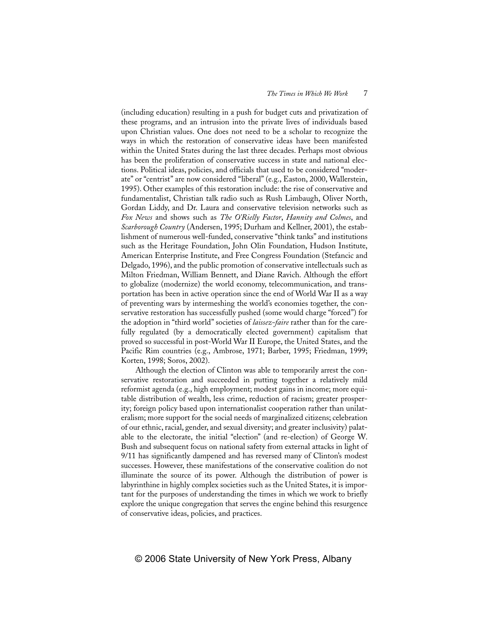(including education) resulting in a push for budget cuts and privatization of these programs, and an intrusion into the private lives of individuals based upon Christian values. One does not need to be a scholar to recognize the ways in which the restoration of conservative ideas have been manifested within the United States during the last three decades. Perhaps most obvious has been the proliferation of conservative success in state and national elections. Political ideas, policies, and officials that used to be considered "moderate" or "centrist" are now considered "liberal" (e.g., Easton, 2000, Wallerstein, 1995). Other examples of this restoration include: the rise of conservative and fundamentalist, Christian talk radio such as Rush Limbaugh, Oliver North, Gordan Liddy, and Dr. Laura and conservative television networks such as *Fox News* and shows such as *The O'Rielly Factor*, *Hannity and Colmes*, and *Scarborough Country* (Andersen, 1995; Durham and Kellner, 2001), the establishment of numerous well-funded, conservative "think tanks" and institutions such as the Heritage Foundation, John Olin Foundation, Hudson Institute, American Enterprise Institute, and Free Congress Foundation (Stefancic and Delgado, 1996), and the public promotion of conservative intellectuals such as Milton Friedman, William Bennett, and Diane Ravich. Although the effort to globalize (modernize) the world economy, telecommunication, and transportation has been in active operation since the end of World War II as a way of preventing wars by intermeshing the world's economies together, the conservative restoration has successfully pushed (some would charge "forced") for the adoption in "third world" societies of *laissez-faire* rather than for the carefully regulated (by a democratically elected government) capitalism that proved so successful in post-World War II Europe, the United States, and the Pacific Rim countries (e.g., Ambrose, 1971; Barber, 1995; Friedman, 1999; Korten, 1998; Soros, 2002).

Although the election of Clinton was able to temporarily arrest the conservative restoration and succeeded in putting together a relatively mild reformist agenda (e.g., high employment; modest gains in income; more equitable distribution of wealth, less crime, reduction of racism; greater prosperity; foreign policy based upon internationalist cooperation rather than unilateralism; more support for the social needs of marginalized citizens; celebration of our ethnic, racial, gender, and sexual diversity; and greater inclusivity) palatable to the electorate, the initial "election" (and re-election) of George W. Bush and subsequent focus on national safety from external attacks in light of 9/11 has significantly dampened and has reversed many of Clinton's modest successes. However, these manifestations of the conservative coalition do not illuminate the source of its power. Although the distribution of power is labyrinthine in highly complex societies such as the United States, it is important for the purposes of understanding the times in which we work to briefly explore the unique congregation that serves the engine behind this resurgence of conservative ideas, policies, and practices.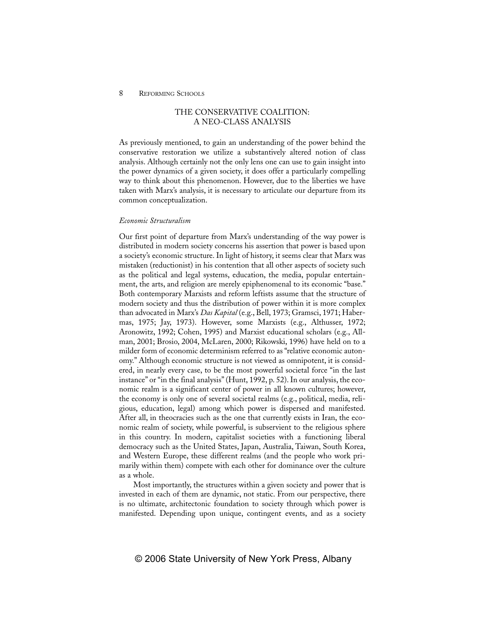# THE CONSERVATIVE COALITION: A NEO-CLASS ANALYSIS

As previously mentioned, to gain an understanding of the power behind the conservative restoration we utilize a substantively altered notion of class analysis. Although certainly not the only lens one can use to gain insight into the power dynamics of a given society, it does offer a particularly compelling way to think about this phenomenon. However, due to the liberties we have taken with Marx's analysis, it is necessary to articulate our departure from its common conceptualization.

#### *Economic Structuralism*

Our first point of departure from Marx's understanding of the way power is distributed in modern society concerns his assertion that power is based upon a society's economic structure. In light of history, it seems clear that Marx was mistaken (reductionist) in his contention that all other aspects of society such as the political and legal systems, education, the media, popular entertainment, the arts, and religion are merely epiphenomenal to its economic "base." Both contemporary Marxists and reform leftists assume that the structure of modern society and thus the distribution of power within it is more complex than advocated in Marx's *Das Kapital* (e.g., Bell, 1973; Gramsci, 1971; Habermas, 1975; Jay, 1973). However, some Marxists (e.g., Althusser, 1972; Aronowitz, 1992; Cohen, 1995) and Marxist educational scholars (e.g., Allman, 2001; Brosio, 2004, McLaren, 2000; Rikowski, 1996) have held on to a milder form of economic determinism referred to as "relative economic autonomy." Although economic structure is not viewed as omnipotent, it is considered, in nearly every case, to be the most powerful societal force "in the last instance" or "in the final analysis" (Hunt, 1992, p. 52). In our analysis, the economic realm is a significant center of power in all known cultures; however, the economy is only one of several societal realms (e.g., political, media, religious, education, legal) among which power is dispersed and manifested. After all, in theocracies such as the one that currently exists in Iran, the economic realm of society, while powerful, is subservient to the religious sphere in this country. In modern, capitalist societies with a functioning liberal democracy such as the United States, Japan, Australia, Taiwan, South Korea, and Western Europe, these different realms (and the people who work primarily within them) compete with each other for dominance over the culture as a whole.

Most importantly, the structures within a given society and power that is invested in each of them are dynamic, not static. From our perspective, there is no ultimate, architectonic foundation to society through which power is manifested. Depending upon unique, contingent events, and as a society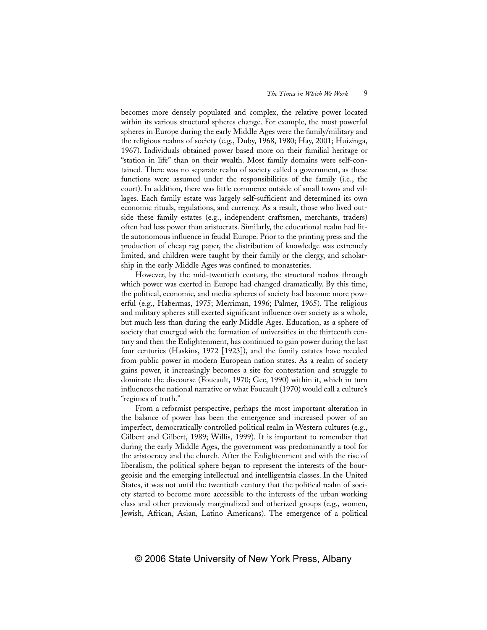becomes more densely populated and complex, the relative power located within its various structural spheres change. For example, the most powerful spheres in Europe during the early Middle Ages were the family/military and the religious realms of society (e.g., Duby, 1968, 1980; Hay, 2001; Huizinga, 1967). Individuals obtained power based more on their familial heritage or "station in life" than on their wealth. Most family domains were self-contained. There was no separate realm of society called a government, as these functions were assumed under the responsibilities of the family (i.e., the court). In addition, there was little commerce outside of small towns and villages. Each family estate was largely self-sufficient and determined its own economic rituals, regulations, and currency. As a result, those who lived outside these family estates (e.g., independent craftsmen, merchants, traders) often had less power than aristocrats. Similarly, the educational realm had little autonomous influence in feudal Europe. Prior to the printing press and the production of cheap rag paper, the distribution of knowledge was extremely limited, and children were taught by their family or the clergy, and scholarship in the early Middle Ages was confined to monasteries.

However, by the mid-twentieth century, the structural realms through which power was exerted in Europe had changed dramatically. By this time, the political, economic, and media spheres of society had become more powerful (e.g., Habermas, 1975; Merriman, 1996; Palmer, 1965). The religious and military spheres still exerted significant influence over society as a whole, but much less than during the early Middle Ages. Education, as a sphere of society that emerged with the formation of universities in the thirteenth century and then the Enlightenment, has continued to gain power during the last four centuries (Haskins, 1972 [1923]), and the family estates have receded from public power in modern European nation states. As a realm of society gains power, it increasingly becomes a site for contestation and struggle to dominate the discourse (Foucault, 1970; Gee, 1990) within it, which in turn influences the national narrative or what Foucault (1970) would call a culture's "regimes of truth."

From a reformist perspective, perhaps the most important alteration in the balance of power has been the emergence and increased power of an imperfect, democratically controlled political realm in Western cultures (e.g., Gilbert and Gilbert, 1989; Willis, 1999). It is important to remember that during the early Middle Ages, the government was predominantly a tool for the aristocracy and the church. After the Enlightenment and with the rise of liberalism, the political sphere began to represent the interests of the bourgeoisie and the emerging intellectual and intelligentsia classes. In the United States, it was not until the twentieth century that the political realm of society started to become more accessible to the interests of the urban working class and other previously marginalized and otherized groups (e.g., women, Jewish, African, Asian, Latino Americans). The emergence of a political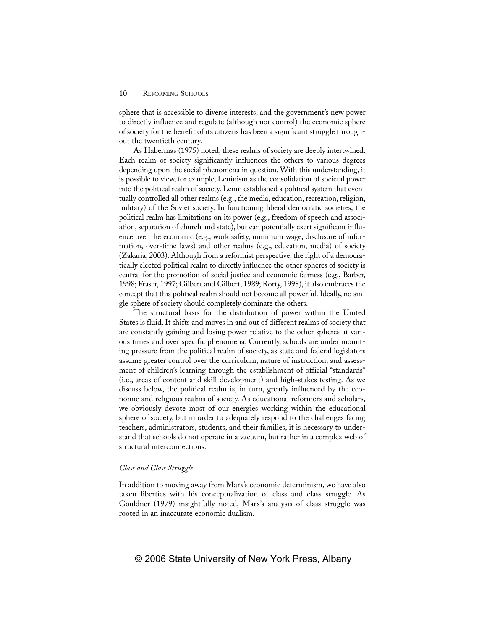sphere that is accessible to diverse interests, and the government's new power to directly influence and regulate (although not control) the economic sphere of society for the benefit of its citizens has been a significant struggle throughout the twentieth century.

As Habermas (1975) noted, these realms of society are deeply intertwined. Each realm of society significantly influences the others to various degrees depending upon the social phenomena in question. With this understanding, it is possible to view, for example, Leninism as the consolidation of societal power into the political realm of society. Lenin established a political system that eventually controlled all other realms (e.g., the media, education, recreation, religion, military) of the Soviet society. In functioning liberal democratic societies, the political realm has limitations on its power (e.g., freedom of speech and association, separation of church and state), but can potentially exert significant influence over the economic (e.g., work safety, minimum wage, disclosure of information, over-time laws) and other realms (e.g., education, media) of society (Zakaria, 2003). Although from a reformist perspective, the right of a democratically elected political realm to directly influence the other spheres of society is central for the promotion of social justice and economic fairness (e.g., Barber, 1998; Fraser, 1997; Gilbert and Gilbert, 1989; Rorty, 1998), it also embraces the concept that this political realm should not become all powerful. Ideally, no single sphere of society should completely dominate the others.

The structural basis for the distribution of power within the United States is fluid. It shifts and moves in and out of different realms of society that are constantly gaining and losing power relative to the other spheres at various times and over specific phenomena. Currently, schools are under mounting pressure from the political realm of society, as state and federal legislators assume greater control over the curriculum, nature of instruction, and assessment of children's learning through the establishment of official "standards" (i.e., areas of content and skill development) and high-stakes testing. As we discuss below, the political realm is, in turn, greatly influenced by the economic and religious realms of society. As educational reformers and scholars, we obviously devote most of our energies working within the educational sphere of society, but in order to adequately respond to the challenges facing teachers, administrators, students, and their families, it is necessary to understand that schools do not operate in a vacuum, but rather in a complex web of structural interconnections.

#### *Class and Class Struggle*

In addition to moving away from Marx's economic determinism, we have also taken liberties with his conceptualization of class and class struggle. As Gouldner (1979) insightfully noted, Marx's analysis of class struggle was rooted in an inaccurate economic dualism.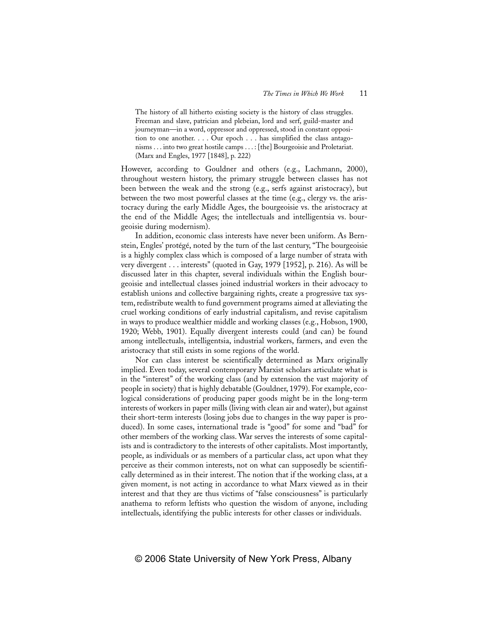The history of all hitherto existing society is the history of class struggles. Freeman and slave, patrician and plebeian, lord and serf, guild-master and journeyman—in a word, oppressor and oppressed, stood in constant opposition to one another. . . . Our epoch . . . has simplified the class antagonisms . . . into two great hostile camps ...:[the] Bourgeoisie and Proletariat. (Marx and Engles, 1977 [1848], p. 222)

However, according to Gouldner and others (e.g., Lachmann, 2000), throughout western history, the primary struggle between classes has not been between the weak and the strong (e.g., serfs against aristocracy), but between the two most powerful classes at the time (e.g., clergy vs. the aristocracy during the early Middle Ages, the bourgeoisie vs. the aristocracy at the end of the Middle Ages; the intellectuals and intelligentsia vs. bourgeoisie during modernism).

In addition, economic class interests have never been uniform. As Bernstein, Engles' protégé, noted by the turn of the last century, "The bourgeoisie is a highly complex class which is composed of a large number of strata with very divergent . . . interests" (quoted in Gay, 1979 [1952], p. 216). As will be discussed later in this chapter, several individuals within the English bourgeoisie and intellectual classes joined industrial workers in their advocacy to establish unions and collective bargaining rights, create a progressive tax system, redistribute wealth to fund government programs aimed at alleviating the cruel working conditions of early industrial capitalism, and revise capitalism in ways to produce wealthier middle and working classes (e.g., Hobson, 1900, 1920; Webb, 1901). Equally divergent interests could (and can) be found among intellectuals, intelligentsia, industrial workers, farmers, and even the aristocracy that still exists in some regions of the world.

Nor can class interest be scientifically determined as Marx originally implied. Even today, several contemporary Marxist scholars articulate what is in the "interest" of the working class (and by extension the vast majority of people in society) that is highly debatable (Gouldner, 1979). For example, ecological considerations of producing paper goods might be in the long-term interests of workers in paper mills (living with clean air and water), but against their short-term interests (losing jobs due to changes in the way paper is produced). In some cases, international trade is "good" for some and "bad" for other members of the working class. War serves the interests of some capitalists and is contradictory to the interests of other capitalists. Most importantly, people, as individuals or as members of a particular class, act upon what they perceive as their common interests, not on what can supposedly be scientifically determined as in their interest. The notion that if the working class, at a given moment, is not acting in accordance to what Marx viewed as in their interest and that they are thus victims of "false consciousness" is particularly anathema to reform leftists who question the wisdom of anyone, including intellectuals, identifying the public interests for other classes or individuals.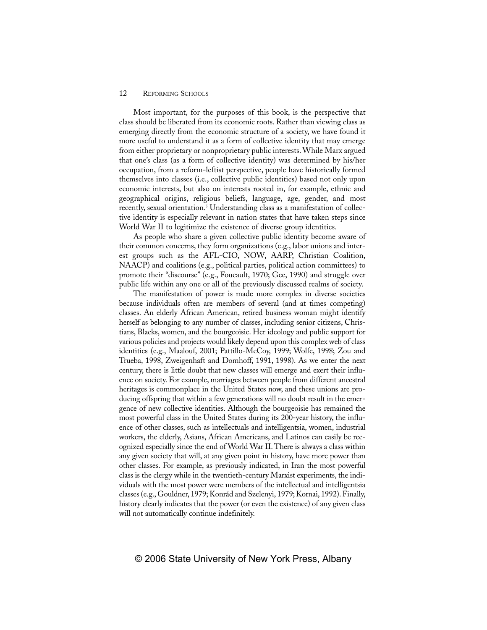Most important, for the purposes of this book, is the perspective that class should be liberated from its economic roots. Rather than viewing class as emerging directly from the economic structure of a society, we have found it more useful to understand it as a form of collective identity that may emerge from either proprietary or nonproprietary public interests. While Marx argued that one's class (as a form of collective identity) was determined by his/her occupation, from a reform-leftist perspective, people have historically formed themselves into classes (i.e., collective public identities) based not only upon economic interests, but also on interests rooted in, for example, ethnic and geographical origins, religious beliefs, language, age, gender, and most recently, sexual orientation.<sup>5</sup> Understanding class as a manifestation of collective identity is especially relevant in nation states that have taken steps since World War II to legitimize the existence of diverse group identities.

As people who share a given collective public identity become aware of their common concerns, they form organizations (e.g., labor unions and interest groups such as the AFL-CIO, NOW, AARP, Christian Coalition, NAACP) and coalitions (e.g., political parties, political action committees) to promote their "discourse" (e.g., Foucault, 1970; Gee, 1990) and struggle over public life within any one or all of the previously discussed realms of society.

The manifestation of power is made more complex in diverse societies because individuals often are members of several (and at times competing) classes. An elderly African American, retired business woman might identify herself as belonging to any number of classes, including senior citizens, Christians, Blacks, women, and the bourgeoisie. Her ideology and public support for various policies and projects would likely depend upon this complex web of class identities (e.g., Maalouf, 2001; Pattillo-McCoy, 1999; Wolfe, 1998; Zou and Trueba, 1998, Zweigenhaft and Domhoff, 1991, 1998). As we enter the next century, there is little doubt that new classes will emerge and exert their influence on society. For example, marriages between people from different ancestral heritages is commonplace in the United States now, and these unions are producing offspring that within a few generations will no doubt result in the emergence of new collective identities. Although the bourgeoisie has remained the most powerful class in the United States during its 200-year history, the influence of other classes, such as intellectuals and intelligentsia, women, industrial workers, the elderly, Asians, African Americans, and Latinos can easily be recognized especially since the end of World War II. There is always a class within any given society that will, at any given point in history, have more power than other classes. For example, as previously indicated, in Iran the most powerful class is the clergy while in the twentieth-century Marxist experiments, the individuals with the most power were members of the intellectual and intelligentsia classes (e.g., Gouldner, 1979; Konrád and Szelenyi, 1979; Kornai, 1992). Finally, history clearly indicates that the power (or even the existence) of any given class will not automatically continue indefinitely.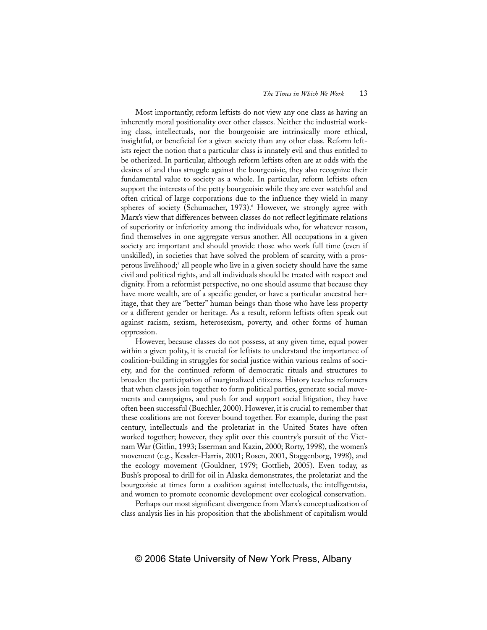Most importantly, reform leftists do not view any one class as having an inherently moral positionality over other classes. Neither the industrial working class, intellectuals, nor the bourgeoisie are intrinsically more ethical, insightful, or beneficial for a given society than any other class. Reform leftists reject the notion that a particular class is innately evil and thus entitled to be otherized. In particular, although reform leftists often are at odds with the desires of and thus struggle against the bourgeoisie, they also recognize their fundamental value to society as a whole. In particular, reform leftists often support the interests of the petty bourgeoisie while they are ever watchful and often critical of large corporations due to the influence they wield in many spheres of society (Schumacher, 1973). However, we strongly agree with Marx's view that differences between classes do not reflect legitimate relations of superiority or inferiority among the individuals who, for whatever reason, find themselves in one aggregate versus another. All occupations in a given society are important and should provide those who work full time (even if unskilled), in societies that have solved the problem of scarcity, with a prosperous livelihood;7 all people who live in a given society should have the same civil and political rights, and all individuals should be treated with respect and dignity. From a reformist perspective, no one should assume that because they have more wealth, are of a specific gender, or have a particular ancestral heritage, that they are "better" human beings than those who have less property or a different gender or heritage. As a result, reform leftists often speak out against racism, sexism, heterosexism, poverty, and other forms of human oppression.

However, because classes do not possess, at any given time, equal power within a given polity, it is crucial for leftists to understand the importance of coalition-building in struggles for social justice within various realms of society, and for the continued reform of democratic rituals and structures to broaden the participation of marginalized citizens. History teaches reformers that when classes join together to form political parties, generate social movements and campaigns, and push for and support social litigation, they have often been successful (Buechler, 2000). However, it is crucial to remember that these coalitions are not forever bound together. For example, during the past century, intellectuals and the proletariat in the United States have often worked together; however, they split over this country's pursuit of the Vietnam War (Gitlin, 1993; Isserman and Kazin, 2000; Rorty, 1998), the women's movement (e.g., Kessler-Harris, 2001; Rosen, 2001, Staggenborg, 1998), and the ecology movement (Gouldner, 1979; Gottlieb, 2005). Even today, as Bush's proposal to drill for oil in Alaska demonstrates, the proletariat and the bourgeoisie at times form a coalition against intellectuals, the intelligentsia, and women to promote economic development over ecological conservation.

Perhaps our most significant divergence from Marx's conceptualization of class analysis lies in his proposition that the abolishment of capitalism would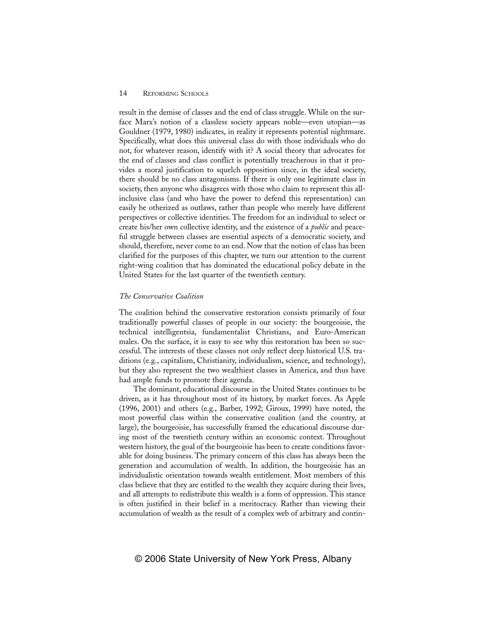result in the demise of classes and the end of class struggle. While on the surface Marx's notion of a classless society appears noble—even utopian—as Gouldner (1979, 1980) indicates, in reality it represents potential nightmare. Specifically, what does this universal class do with those individuals who do not, for whatever reason, identify with it? A social theory that advocates for the end of classes and class conflict is potentially treacherous in that it provides a moral justification to squelch opposition since, in the ideal society, there should be no class antagonisms. If there is only one legitimate class in society, then anyone who disagrees with those who claim to represent this allinclusive class (and who have the power to defend this representation) can easily be otherized as outlaws, rather than people who merely have different perspectives or collective identities. The freedom for an individual to select or create his/her own collective identity, and the existence of a *public* and peaceful struggle between classes are essential aspects of a democratic society, and should, therefore, never come to an end. Now that the notion of class has been clarified for the purposes of this chapter, we turn our attention to the current right-wing coalition that has dominated the educational policy debate in the United States for the last quarter of the twentieth century.

#### *The Conservative Coalition*

The coalition behind the conservative restoration consists primarily of four traditionally powerful classes of people in our society: the bourgeoisie, the technical intelligentsia, fundamentalist Christians, and Euro-American males. On the surface, it is easy to see why this restoration has been so successful. The interests of these classes not only reflect deep historical U.S. traditions (e.g., capitalism, Christianity, individualism, science, and technology), but they also represent the two wealthiest classes in America, and thus have had ample funds to promote their agenda.

The dominant, educational discourse in the United States continues to be driven, as it has throughout most of its history, by market forces. As Apple (1996, 2001) and others (e.g., Barber, 1992; Giroux, 1999) have noted, the most powerful class within the conservative coalition (and the country, at large), the bourgeoisie, has successfully framed the educational discourse during most of the twentieth century within an economic context. Throughout western history, the goal of the bourgeoisie has been to create conditions favorable for doing business. The primary concern of this class has always been the generation and accumulation of wealth. In addition, the bourgeoisie has an individualistic orientation towards wealth entitlement. Most members of this class believe that they are entitled to the wealth they acquire during their lives, and all attempts to redistribute this wealth is a form of oppression. This stance is often justified in their belief in a meritocracy. Rather than viewing their accumulation of wealth as the result of a complex web of arbitrary and contin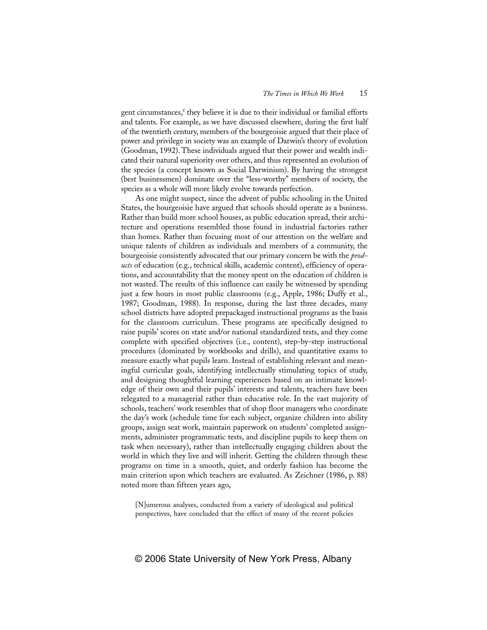gent circumstances,<sup>8</sup> they believe it is due to their individual or familial efforts and talents. For example, as we have discussed elsewhere, during the first half of the twentieth century, members of the bourgeoisie argued that their place of power and privilege in society was an example of Darwin's theory of evolution (Goodman, 1992). These individuals argued that their power and wealth indicated their natural superiority over others, and thus represented an evolution of the species (a concept known as Social Darwinism). By having the strongest (best businessmen) dominate over the "less-worthy" members of society, the species as a whole will more likely evolve towards perfection.

As one might suspect, since the advent of public schooling in the United States, the bourgeoisie have argued that schools should operate as a business. Rather than build more school houses, as public education spread, their architecture and operations resembled those found in industrial factories rather than homes. Rather than focusing most of our attention on the welfare and unique talents of children as individuals and members of a community, the bourgeoisie consistently advocated that our primary concern be with the *products* of education (e.g., technical skills, academic content), efficiency of operations, and accountability that the money spent on the education of children is not wasted. The results of this influence can easily be witnessed by spending just a few hours in most public classrooms (e.g., Apple, 1986; Duffy et al., 1987; Goodman, 1988). In response, during the last three decades, many school districts have adopted prepackaged instructional programs as the basis for the classroom curriculum. These programs are specifically designed to raise pupils' scores on state and/or national standardized tests, and they come complete with specified objectives (i.e., content), step-by-step instructional procedures (dominated by workbooks and drills), and quantitative exams to measure exactly what pupils learn. Instead of establishing relevant and meaningful curricular goals, identifying intellectually stimulating topics of study, and designing thoughtful learning experiences based on an intimate knowledge of their own and their pupils' interests and talents, teachers have been relegated to a managerial rather than educative role. In the vast majority of schools, teachers' work resembles that of shop floor managers who coordinate the day's work (schedule time for each subject, organize children into ability groups, assign seat work, maintain paperwork on students' completed assignments, administer programmatic tests, and discipline pupils to keep them on task when necessary), rather than intellectually engaging children about the world in which they live and will inherit. Getting the children through these programs on time in a smooth, quiet, and orderly fashion has become the main criterion upon which teachers are evaluated. As Zeichner (1986, p. 88) noted more than fifteen years ago,

[N]umerous analyses, conducted from a variety of ideological and political perspectives, have concluded that the effect of many of the recent policies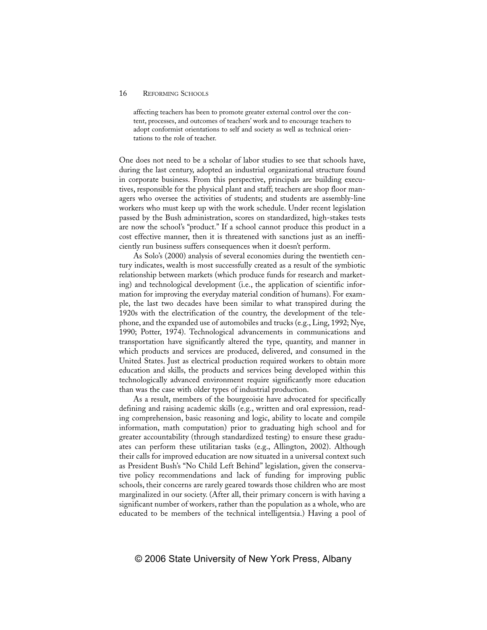affecting teachers has been to promote greater external control over the content, processes, and outcomes of teachers' work and to encourage teachers to adopt conformist orientations to self and society as well as technical orientations to the role of teacher.

One does not need to be a scholar of labor studies to see that schools have, during the last century, adopted an industrial organizational structure found in corporate business. From this perspective, principals are building executives, responsible for the physical plant and staff; teachers are shop floor managers who oversee the activities of students; and students are assembly-line workers who must keep up with the work schedule. Under recent legislation passed by the Bush administration, scores on standardized, high-stakes tests are now the school's "product." If a school cannot produce this product in a cost effective manner, then it is threatened with sanctions just as an inefficiently run business suffers consequences when it doesn't perform.

As Solo's (2000) analysis of several economies during the twentieth century indicates, wealth is most successfully created as a result of the symbiotic relationship between markets (which produce funds for research and marketing) and technological development (i.e., the application of scientific information for improving the everyday material condition of humans). For example, the last two decades have been similar to what transpired during the 1920s with the electrification of the country, the development of the telephone, and the expanded use of automobiles and trucks (e.g., Ling, 1992; Nye, 1990; Potter, 1974). Technological advancements in communications and transportation have significantly altered the type, quantity, and manner in which products and services are produced, delivered, and consumed in the United States. Just as electrical production required workers to obtain more education and skills, the products and services being developed within this technologically advanced environment require significantly more education than was the case with older types of industrial production.

As a result, members of the bourgeoisie have advocated for specifically defining and raising academic skills (e.g., written and oral expression, reading comprehension, basic reasoning and logic, ability to locate and compile information, math computation) prior to graduating high school and for greater accountability (through standardized testing) to ensure these graduates can perform these utilitarian tasks (e.g., Allington, 2002). Although their calls for improved education are now situated in a universal context such as President Bush's "No Child Left Behind" legislation, given the conservative policy recommendations and lack of funding for improving public schools, their concerns are rarely geared towards those children who are most marginalized in our society. (After all, their primary concern is with having a significant number of workers, rather than the population as a whole, who are educated to be members of the technical intelligentsia.) Having a pool of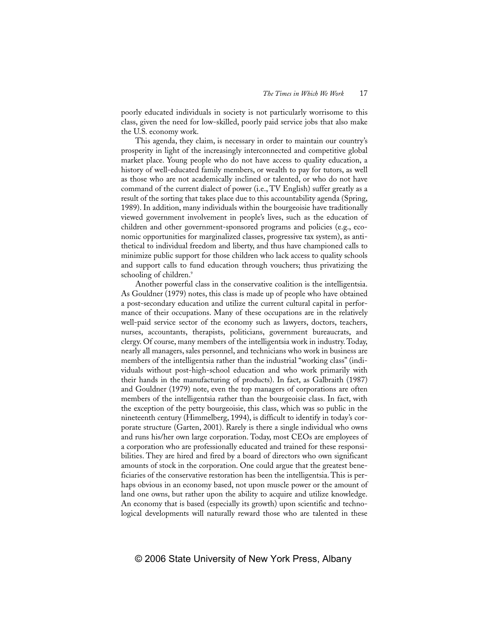poorly educated individuals in society is not particularly worrisome to this class, given the need for low-skilled, poorly paid service jobs that also make the U.S. economy work.

This agenda, they claim, is necessary in order to maintain our country's prosperity in light of the increasingly interconnected and competitive global market place. Young people who do not have access to quality education, a history of well-educated family members, or wealth to pay for tutors, as well as those who are not academically inclined or talented, or who do not have command of the current dialect of power (i.e., TV English) suffer greatly as a result of the sorting that takes place due to this accountability agenda (Spring, 1989). In addition, many individuals within the bourgeoisie have traditionally viewed government involvement in people's lives, such as the education of children and other government-sponsored programs and policies (e.g., economic opportunities for marginalized classes, progressive tax system), as antithetical to individual freedom and liberty, and thus have championed calls to minimize public support for those children who lack access to quality schools and support calls to fund education through vouchers; thus privatizing the schooling of children.<sup>9</sup>

Another powerful class in the conservative coalition is the intelligentsia. As Gouldner (1979) notes, this class is made up of people who have obtained a post-secondary education and utilize the current cultural capital in performance of their occupations. Many of these occupations are in the relatively well-paid service sector of the economy such as lawyers, doctors, teachers, nurses, accountants, therapists, politicians, government bureaucrats, and clergy. Of course, many members of the intelligentsia work in industry. Today, nearly all managers, sales personnel, and technicians who work in business are members of the intelligentsia rather than the industrial "working class" (individuals without post-high-school education and who work primarily with their hands in the manufacturing of products). In fact, as Galbraith (1987) and Gouldner (1979) note, even the top managers of corporations are often members of the intelligentsia rather than the bourgeoisie class. In fact, with the exception of the petty bourgeoisie, this class, which was so public in the nineteenth century (Himmelberg, 1994), is difficult to identify in today's corporate structure (Garten, 2001). Rarely is there a single individual who owns and runs his/her own large corporation. Today, most CEOs are employees of a corporation who are professionally educated and trained for these responsibilities. They are hired and fired by a board of directors who own significant amounts of stock in the corporation. One could argue that the greatest beneficiaries of the conservative restoration has been the intelligentsia. This is perhaps obvious in an economy based, not upon muscle power or the amount of land one owns, but rather upon the ability to acquire and utilize knowledge. An economy that is based (especially its growth) upon scientific and technological developments will naturally reward those who are talented in these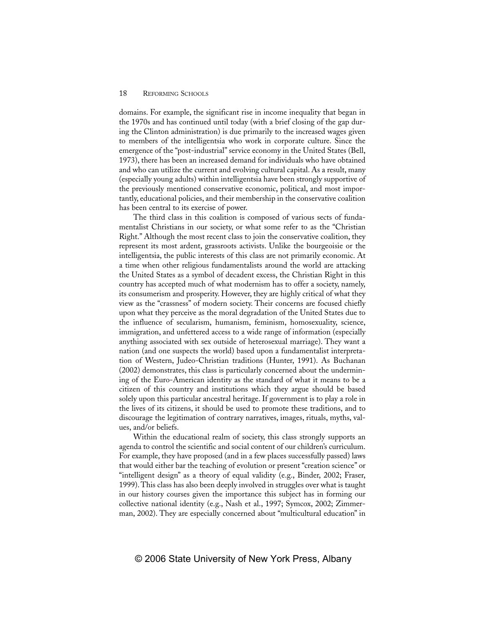domains. For example, the significant rise in income inequality that began in the 1970s and has continued until today (with a brief closing of the gap during the Clinton administration) is due primarily to the increased wages given to members of the intelligentsia who work in corporate culture. Since the emergence of the "post-industrial" service economy in the United States (Bell, 1973), there has been an increased demand for individuals who have obtained and who can utilize the current and evolving cultural capital. As a result, many (especially young adults) within intelligentsia have been strongly supportive of the previously mentioned conservative economic, political, and most importantly, educational policies, and their membership in the conservative coalition has been central to its exercise of power.

The third class in this coalition is composed of various sects of fundamentalist Christians in our society, or what some refer to as the "Christian Right." Although the most recent class to join the conservative coalition, they represent its most ardent, grassroots activists. Unlike the bourgeoisie or the intelligentsia, the public interests of this class are not primarily economic. At a time when other religious fundamentalists around the world are attacking the United States as a symbol of decadent excess, the Christian Right in this country has accepted much of what modernism has to offer a society, namely, its consumerism and prosperity. However, they are highly critical of what they view as the "crassness" of modern society. Their concerns are focused chiefly upon what they perceive as the moral degradation of the United States due to the influence of secularism, humanism, feminism, homosexuality, science, immigration, and unfettered access to a wide range of information (especially anything associated with sex outside of heterosexual marriage). They want a nation (and one suspects the world) based upon a fundamentalist interpretation of Western, Judeo-Christian traditions (Hunter, 1991). As Buchanan (2002) demonstrates, this class is particularly concerned about the undermining of the Euro-American identity as the standard of what it means to be a citizen of this country and institutions which they argue should be based solely upon this particular ancestral heritage. If government is to play a role in the lives of its citizens, it should be used to promote these traditions, and to discourage the legitimation of contrary narratives, images, rituals, myths, values, and/or beliefs.

Within the educational realm of society, this class strongly supports an agenda to control the scientific and social content of our children's curriculum. For example, they have proposed (and in a few places successfully passed) laws that would either bar the teaching of evolution or present "creation science" or "intelligent design" as a theory of equal validity (e.g., Binder, 2002; Fraser, 1999). This class has also been deeply involved in struggles over what is taught in our history courses given the importance this subject has in forming our collective national identity (e.g., Nash et al., 1997; Symcox, 2002; Zimmerman, 2002). They are especially concerned about "multicultural education" in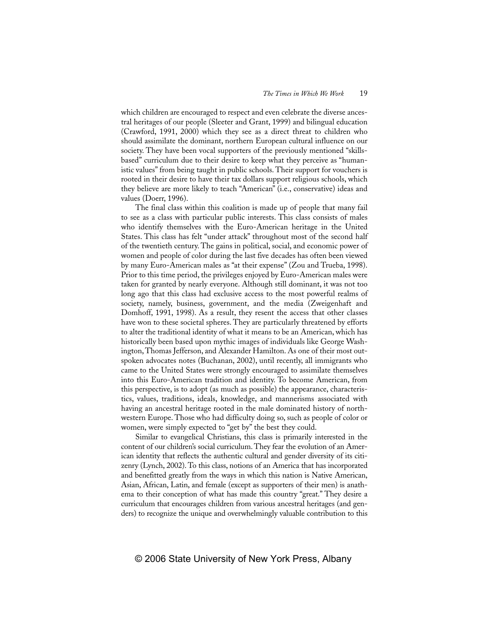which children are encouraged to respect and even celebrate the diverse ancestral heritages of our people (Sleeter and Grant, 1999) and bilingual education (Crawford, 1991, 2000) which they see as a direct threat to children who should assimilate the dominant, northern European cultural influence on our society. They have been vocal supporters of the previously mentioned "skillsbased" curriculum due to their desire to keep what they perceive as "humanistic values" from being taught in public schools. Their support for vouchers is rooted in their desire to have their tax dollars support religious schools, which they believe are more likely to teach "American" (i.e., conservative) ideas and values (Doerr, 1996).

The final class within this coalition is made up of people that many fail to see as a class with particular public interests. This class consists of males who identify themselves with the Euro-American heritage in the United States. This class has felt "under attack" throughout most of the second half of the twentieth century. The gains in political, social, and economic power of women and people of color during the last five decades has often been viewed by many Euro-American males as "at their expense" (Zou and Trueba, 1998). Prior to this time period, the privileges enjoyed by Euro-American males were taken for granted by nearly everyone. Although still dominant, it was not too long ago that this class had exclusive access to the most powerful realms of society, namely, business, government, and the media (Zweigenhaft and Domhoff, 1991, 1998). As a result, they resent the access that other classes have won to these societal spheres. They are particularly threatened by efforts to alter the traditional identity of what it means to be an American, which has historically been based upon mythic images of individuals like George Washington, Thomas Jefferson, and Alexander Hamilton. As one of their most outspoken advocates notes (Buchanan, 2002), until recently, all immigrants who came to the United States were strongly encouraged to assimilate themselves into this Euro-American tradition and identity. To become American, from this perspective, is to adopt (as much as possible) the appearance, characteristics, values, traditions, ideals, knowledge, and mannerisms associated with having an ancestral heritage rooted in the male dominated history of northwestern Europe. Those who had difficulty doing so, such as people of color or women, were simply expected to "get by" the best they could.

Similar to evangelical Christians, this class is primarily interested in the content of our children's social curriculum. They fear the evolution of an American identity that reflects the authentic cultural and gender diversity of its citizenry (Lynch, 2002). To this class, notions of an America that has incorporated and benefitted greatly from the ways in which this nation is Native American, Asian, African, Latin, and female (except as supporters of their men) is anathema to their conception of what has made this country "great." They desire a curriculum that encourages children from various ancestral heritages (and genders) to recognize the unique and overwhelmingly valuable contribution to this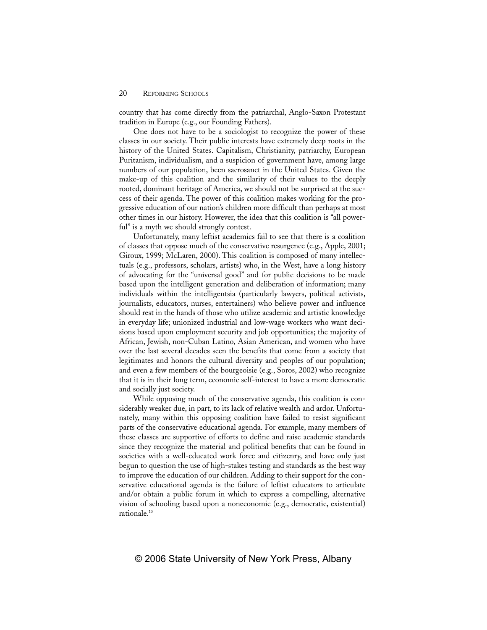country that has come directly from the patriarchal, Anglo-Saxon Protestant tradition in Europe (e.g., our Founding Fathers).

One does not have to be a sociologist to recognize the power of these classes in our society. Their public interests have extremely deep roots in the history of the United States. Capitalism, Christianity, patriarchy, European Puritanism, individualism, and a suspicion of government have, among large numbers of our population, been sacrosanct in the United States. Given the make-up of this coalition and the similarity of their values to the deeply rooted, dominant heritage of America, we should not be surprised at the success of their agenda. The power of this coalition makes working for the progressive education of our nation's children more difficult than perhaps at most other times in our history. However, the idea that this coalition is "all powerful" is a myth we should strongly contest.

Unfortunately, many leftist academics fail to see that there is a coalition of classes that oppose much of the conservative resurgence (e.g., Apple, 2001; Giroux, 1999; McLaren, 2000). This coalition is composed of many intellectuals (e.g., professors, scholars, artists) who, in the West, have a long history of advocating for the "universal good" and for public decisions to be made based upon the intelligent generation and deliberation of information; many individuals within the intelligentsia (particularly lawyers, political activists, journalists, educators, nurses, entertainers) who believe power and influence should rest in the hands of those who utilize academic and artistic knowledge in everyday life; unionized industrial and low-wage workers who want decisions based upon employment security and job opportunities; the majority of African, Jewish, non-Cuban Latino, Asian American, and women who have over the last several decades seen the benefits that come from a society that legitimates and honors the cultural diversity and peoples of our population; and even a few members of the bourgeoisie (e.g., Soros, 2002) who recognize that it is in their long term, economic self-interest to have a more democratic and socially just society.

While opposing much of the conservative agenda, this coalition is considerably weaker due, in part, to its lack of relative wealth and ardor. Unfortunately, many within this opposing coalition have failed to resist significant parts of the conservative educational agenda. For example, many members of these classes are supportive of efforts to define and raise academic standards since they recognize the material and political benefits that can be found in societies with a well-educated work force and citizenry, and have only just begun to question the use of high-stakes testing and standards as the best way to improve the education of our children. Adding to their support for the conservative educational agenda is the failure of leftist educators to articulate and/or obtain a public forum in which to express a compelling, alternative vision of schooling based upon a noneconomic (e.g., democratic, existential) rationale.10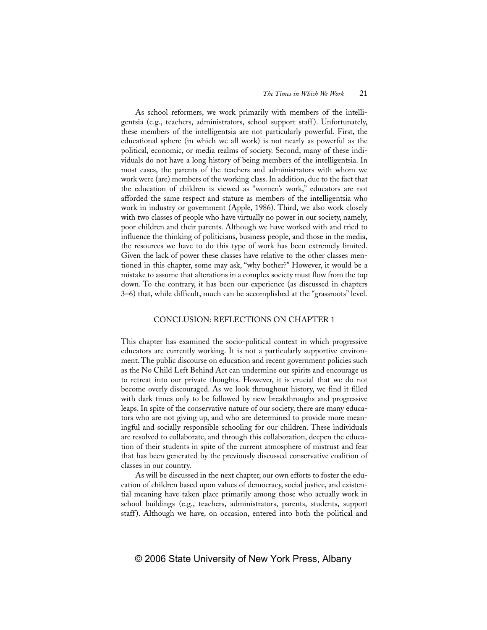As school reformers, we work primarily with members of the intelligentsia (e.g., teachers, administrators, school support staff ). Unfortunately, these members of the intelligentsia are not particularly powerful. First, the educational sphere (in which we all work) is not nearly as powerful as the political, economic, or media realms of society. Second, many of these individuals do not have a long history of being members of the intelligentsia. In most cases, the parents of the teachers and administrators with whom we work were (are) members of the working class. In addition, due to the fact that the education of children is viewed as "women's work," educators are not afforded the same respect and stature as members of the intelligentsia who work in industry or government (Apple, 1986). Third, we also work closely with two classes of people who have virtually no power in our society, namely, poor children and their parents. Although we have worked with and tried to influence the thinking of politicians, business people, and those in the media, the resources we have to do this type of work has been extremely limited. Given the lack of power these classes have relative to the other classes mentioned in this chapter, some may ask, "why bother?" However, it would be a mistake to assume that alterations in a complex society must flow from the top down. To the contrary, it has been our experience (as discussed in chapters 3–6) that, while difficult, much can be accomplished at the "grassroots" level.

#### CONCLUSION: REFLECTIONS ON CHAPTER 1

This chapter has examined the socio-political context in which progressive educators are currently working. It is not a particularly supportive environment. The public discourse on education and recent government policies such as the No Child Left Behind Act can undermine our spirits and encourage us to retreat into our private thoughts. However, it is crucial that we do not become overly discouraged. As we look throughout history, we find it filled with dark times only to be followed by new breakthroughs and progressive leaps. In spite of the conservative nature of our society, there are many educators who are not giving up, and who are determined to provide more meaningful and socially responsible schooling for our children. These individuals are resolved to collaborate, and through this collaboration, deepen the education of their students in spite of the current atmosphere of mistrust and fear that has been generated by the previously discussed conservative coalition of classes in our country.

As will be discussed in the next chapter, our own efforts to foster the education of children based upon values of democracy, social justice, and existential meaning have taken place primarily among those who actually work in school buildings (e.g., teachers, administrators, parents, students, support staff). Although we have, on occasion, entered into both the political and